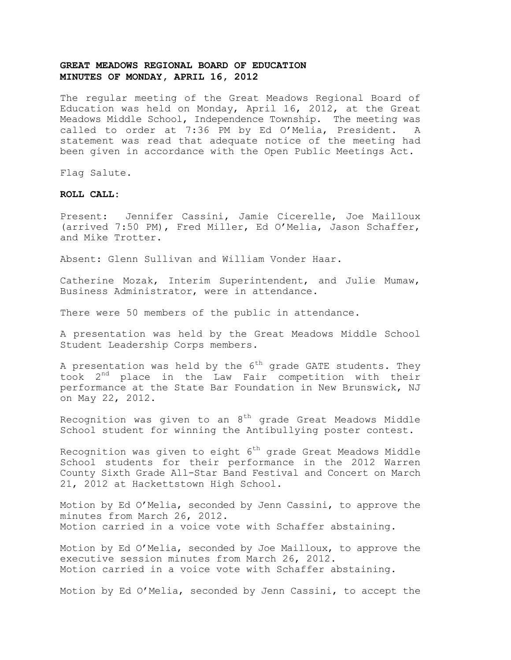The regular meeting of the Great Meadows Regional Board of Education was held on Monday, April 16, 2012, at the Great Meadows Middle School, Independence Township. The meeting was called to order at 7:36 PM by Ed O'Melia, President. A statement was read that adequate notice of the meeting had been given in accordance with the Open Public Meetings Act.

Flag Salute.

#### **ROLL CALL:**

Present: Jennifer Cassini, Jamie Cicerelle, Joe Mailloux (arrived 7:50 PM), Fred Miller, Ed O'Melia, Jason Schaffer, and Mike Trotter.

Absent: Glenn Sullivan and William Vonder Haar.

Catherine Mozak, Interim Superintendent, and Julie Mumaw, Business Administrator, were in attendance.

There were 50 members of the public in attendance.

A presentation was held by the Great Meadows Middle School Student Leadership Corps members.

A presentation was held by the  $6^{th}$  grade GATE students. They took 2nd place in the Law Fair competition with their performance at the State Bar Foundation in New Brunswick, NJ on May 22, 2012.

Recognition was given to an  $8<sup>th</sup>$  grade Great Meadows Middle School student for winning the Antibullying poster contest.

Recognition was given to eight 6<sup>th</sup> grade Great Meadows Middle School students for their performance in the 2012 Warren County Sixth Grade All-Star Band Festival and Concert on March 21, 2012 at Hackettstown High School.

Motion by Ed O'Melia, seconded by Jenn Cassini, to approve the minutes from March 26, 2012. Motion carried in a voice vote with Schaffer abstaining.

Motion by Ed O'Melia, seconded by Joe Mailloux, to approve the executive session minutes from March 26, 2012. Motion carried in a voice vote with Schaffer abstaining.

Motion by Ed O'Melia, seconded by Jenn Cassini, to accept the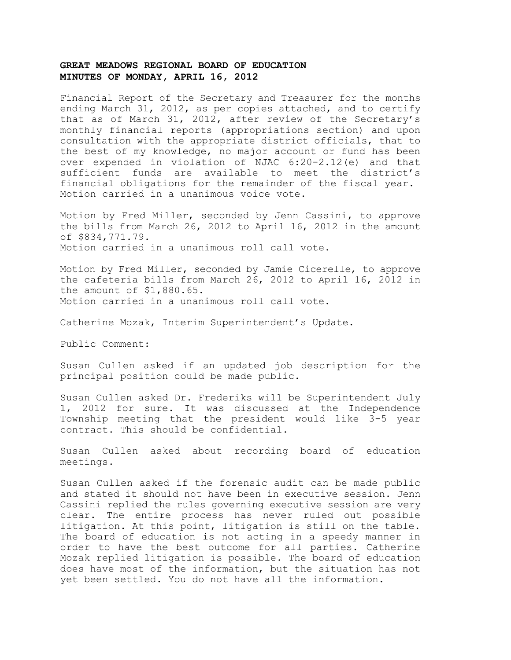Financial Report of the Secretary and Treasurer for the months ending March 31, 2012, as per copies attached, and to certify that as of March 31, 2012, after review of the Secretary's monthly financial reports (appropriations section) and upon consultation with the appropriate district officials, that to the best of my knowledge, no major account or fund has been over expended in violation of NJAC 6:20-2.12(e) and that sufficient funds are available to meet the district's financial obligations for the remainder of the fiscal year. Motion carried in a unanimous voice vote.

Motion by Fred Miller, seconded by Jenn Cassini, to approve the bills from March 26, 2012 to April 16, 2012 in the amount of \$834,771.79. Motion carried in a unanimous roll call vote.

Motion by Fred Miller, seconded by Jamie Cicerelle, to approve the cafeteria bills from March 26, 2012 to April 16, 2012 in the amount of \$1,880.65. Motion carried in a unanimous roll call vote.

Catherine Mozak, Interim Superintendent's Update.

Public Comment:

Susan Cullen asked if an updated job description for the principal position could be made public.

Susan Cullen asked Dr. Frederiks will be Superintendent July 1, 2012 for sure. It was discussed at the Independence Township meeting that the president would like 3-5 year contract. This should be confidential.

Susan Cullen asked about recording board of education meetings.

Susan Cullen asked if the forensic audit can be made public and stated it should not have been in executive session. Jenn Cassini replied the rules governing executive session are very clear. The entire process has never ruled out possible litigation. At this point, litigation is still on the table. The board of education is not acting in a speedy manner in order to have the best outcome for all parties. Catherine Mozak replied litigation is possible. The board of education does have most of the information, but the situation has not yet been settled. You do not have all the information.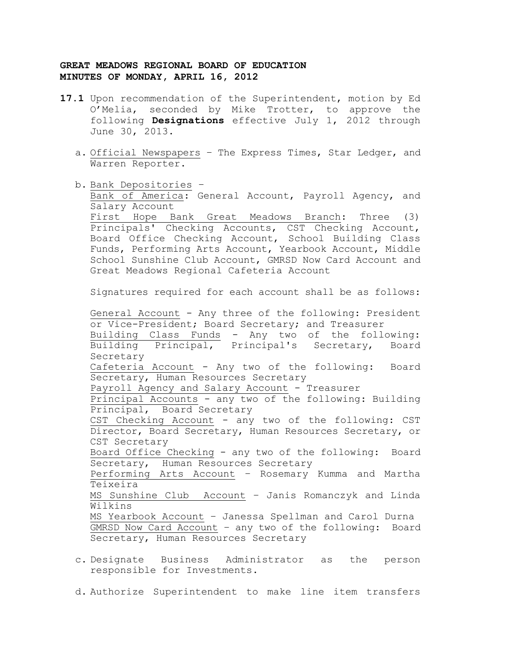- **17.1** Upon recommendation of the Superintendent, motion by Ed O'Melia, seconded by Mike Trotter, to approve the following **Designations** effective July 1, 2012 through June 30, 2013.
	- a. Official Newspapers The Express Times, Star Ledger, and Warren Reporter.
	- b. Bank Depositories Bank of America: General Account, Payroll Agency, and Salary Account First Hope Bank Great Meadows Branch: Three (3) Principals' Checking Accounts, CST Checking Account, Board Office Checking Account, School Building Class Funds, Performing Arts Account, Yearbook Account, Middle School Sunshine Club Account, GMRSD Now Card Account and Great Meadows Regional Cafeteria Account

Signatures required for each account shall be as follows:

General Account - Any three of the following: President or Vice-President; Board Secretary; and Treasurer Building Class Funds - Any two of the following: Building Principal, Principal's Secretary, Board Secretary Cafeteria Account - Any two of the following: Board Secretary, Human Resources Secretary Payroll Agency and Salary Account - Treasurer Principal Accounts - any two of the following: Building Principal, Board Secretary CST Checking Account - any two of the following: CST Director, Board Secretary, Human Resources Secretary, or CST Secretary Board Office Checking - any two of the following: Board Secretary, Human Resources Secretary Performing Arts Account – Rosemary Kumma and Martha Teixeira MS Sunshine Club Account – Janis Romanczyk and Linda Wilkins MS Yearbook Account – Janessa Spellman and Carol Durna GMRSD Now Card Account – any two of the following: Board Secretary, Human Resources Secretary

- c. Designate Business Administrator as the person responsible for Investments.
- d. Authorize Superintendent to make line item transfers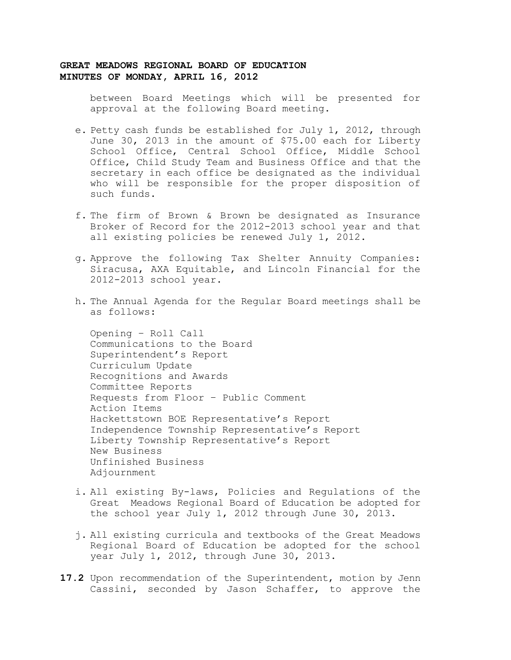between Board Meetings which will be presented for approval at the following Board meeting.

- e. Petty cash funds be established for July 1, 2012, through June 30, 2013 in the amount of \$75.00 each for Liberty School Office, Central School Office, Middle School Office, Child Study Team and Business Office and that the secretary in each office be designated as the individual who will be responsible for the proper disposition of such funds.
- f. The firm of Brown & Brown be designated as Insurance Broker of Record for the 2012-2013 school year and that all existing policies be renewed July 1, 2012.
- g. Approve the following Tax Shelter Annuity Companies: Siracusa, AXA Equitable, and Lincoln Financial for the 2012-2013 school year.
- h. The Annual Agenda for the Regular Board meetings shall be as follows:

Opening – Roll Call Communications to the Board Superintendent's Report Curriculum Update Recognitions and Awards Committee Reports Requests from Floor – Public Comment Action Items Hackettstown BOE Representative's Report Independence Township Representative's Report Liberty Township Representative's Report New Business Unfinished Business Adjournment

- i. All existing By-laws, Policies and Regulations of the Great Meadows Regional Board of Education be adopted for the school year July 1, 2012 through June 30, 2013.
- j. All existing curricula and textbooks of the Great Meadows Regional Board of Education be adopted for the school year July 1, 2012, through June 30, 2013.
- **17.2** Upon recommendation of the Superintendent, motion by Jenn Cassini, seconded by Jason Schaffer, to approve the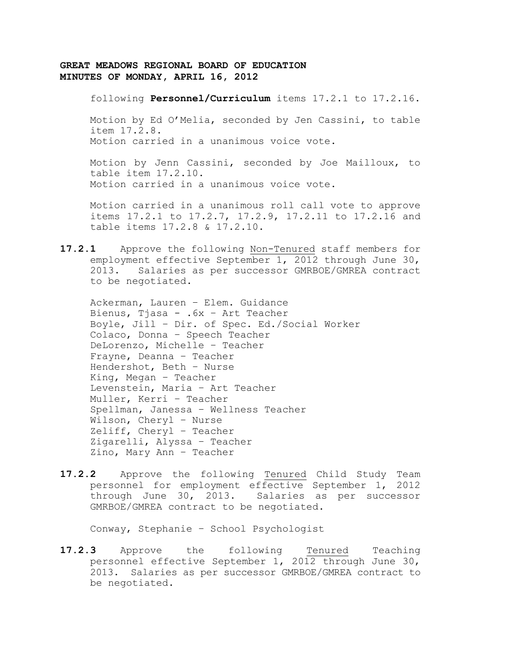following **Personnel/Curriculum** items 17.2.1 to 17.2.16.

Motion by Ed O'Melia, seconded by Jen Cassini, to table item 17.2.8. Motion carried in a unanimous voice vote.

Motion by Jenn Cassini, seconded by Joe Mailloux, to table item 17.2.10. Motion carried in a unanimous voice vote.

Motion carried in a unanimous roll call vote to approve items 17.2.1 to 17.2.7, 17.2.9, 17.2.11 to 17.2.16 and table items 17.2.8 & 17.2.10.

**17.2.1** Approve the following Non-Tenured staff members for employment effective September 1, 2012 through June 30, 2013. Salaries as per successor GMRBOE/GMREA contract to be negotiated.

Ackerman, Lauren – Elem. Guidance Bienus, Tjasa - .6x – Art Teacher Boyle, Jill – Dir. of Spec. Ed./Social Worker Colaco, Donna – Speech Teacher DeLorenzo, Michelle – Teacher Frayne, Deanna – Teacher Hendershot, Beth – Nurse King, Megan – Teacher Levenstein, Maria – Art Teacher Muller, Kerri – Teacher Spellman, Janessa – Wellness Teacher Wilson, Cheryl – Nurse Zeliff, Cheryl – Teacher Zigarelli, Alyssa – Teacher Zino, Mary Ann – Teacher

**17.2.2** Approve the following Tenured Child Study Team personnel for employment effective September 1, 2012 through June 30, 2013. Salaries as per successor GMRBOE/GMREA contract to be negotiated.

Conway, Stephanie – School Psychologist

**17.2.3** Approve the following Tenured Teaching personnel effective September 1, 2012 through June 30, 2013. Salaries as per successor GMRBOE/GMREA contract to be negotiated.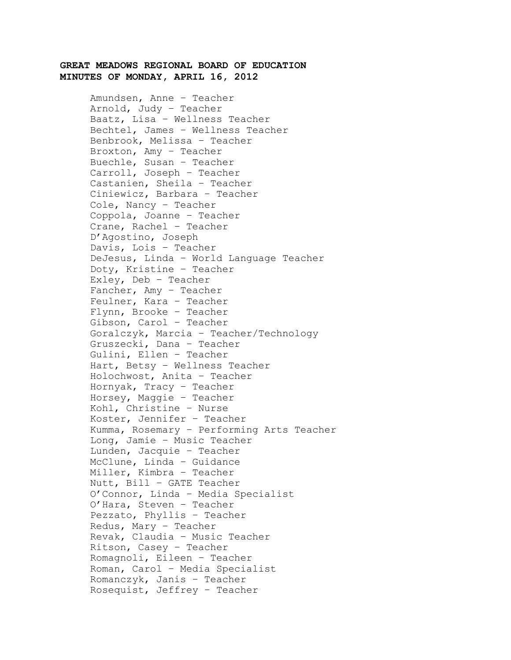Amundsen, Anne – Teacher Arnold, Judy – Teacher Baatz, Lisa – Wellness Teacher Bechtel, James – Wellness Teacher Benbrook, Melissa – Teacher Broxton, Amy – Teacher Buechle, Susan – Teacher Carroll, Joseph – Teacher Castanien, Sheila – Teacher Ciniewicz, Barbara – Teacher Cole, Nancy – Teacher Coppola, Joanne – Teacher Crane, Rachel – Teacher D'Agostino, Joseph Davis, Lois – Teacher DeJesus, Linda – World Language Teacher Doty, Kristine – Teacher Exley, Deb – Teacher Fancher, Amy – Teacher Feulner, Kara – Teacher Flynn, Brooke – Teacher Gibson, Carol – Teacher Goralczyk, Marcia – Teacher/Technology Gruszecki, Dana – Teacher Gulini, Ellen – Teacher Hart, Betsy – Wellness Teacher Holochwost, Anita – Teacher Hornyak, Tracy – Teacher Horsey, Maggie – Teacher Kohl, Christine – Nurse Koster, Jennifer – Teacher Kumma, Rosemary – Performing Arts Teacher Long, Jamie – Music Teacher Lunden, Jacquie – Teacher McClune, Linda – Guidance Miller, Kimbra – Teacher Nutt, Bill – GATE Teacher O'Connor, Linda – Media Specialist O'Hara, Steven – Teacher Pezzato, Phyllis – Teacher Redus, Mary – Teacher Revak, Claudia – Music Teacher Ritson, Casey – Teacher Romagnoli, Eileen – Teacher Roman, Carol – Media Specialist Romanczyk, Janis – Teacher Rosequist, Jeffrey – Teacher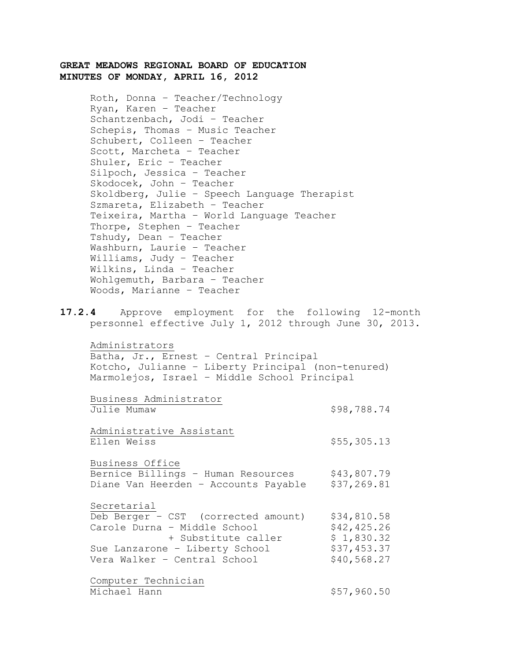Roth, Donna – Teacher/Technology Ryan, Karen – Teacher Schantzenbach, Jodi – Teacher Schepis, Thomas – Music Teacher Schubert, Colleen – Teacher Scott, Marcheta – Teacher Shuler, Eric – Teacher Silpoch, Jessica – Teacher Skodocek, John – Teacher Skoldberg, Julie – Speech Language Therapist Szmareta, Elizabeth – Teacher Teixeira, Martha – World Language Teacher Thorpe, Stephen – Teacher Tshudy, Dean – Teacher Washburn, Laurie – Teacher Williams, Judy – Teacher Wilkins, Linda – Teacher Wohlgemuth, Barbara – Teacher Woods, Marianne – Teacher

**17.2.4** Approve employment for the following 12-month personnel effective July 1, 2012 through June 30, 2013.

Administrators Batha, Jr., Ernest – Central Principal Kotcho, Julianne – Liberty Principal (non-tenured) Marmolejos, Israel – Middle School Principal

Business Administrator Julie Mumaw \$98,788.74 Administrative Assistant Ellen Weiss  $$55,305.13$ Business Office Bernice Billings - Human Resources \$43,807.79 Diane Van Heerden - Accounts Payable \$37,269.81 Secretarial Deb Berger – CST (corrected amount) \$34,810.58<br>Carole Durna – Middle School \$42,425.26<br>+ Substitute caller \$1.830.32 Carole Durna - Middle School (542,425.26) + Substitute caller \$ 1,830.32

| T SUDSLILULE CAIIEI            | RULOJU.JA   |
|--------------------------------|-------------|
| Sue Lanzarone - Liberty School | \$37,453.37 |
| Vera Walker - Central School   | \$40,568.27 |
| Computer Technician            |             |

Michael Hann \$57,960.50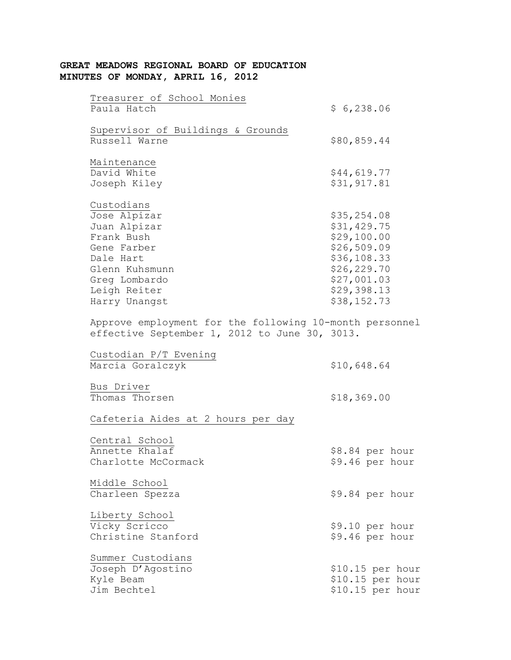| Treasurer of School Monies<br>Paula Hatch               | \$6,238.06        |
|---------------------------------------------------------|-------------------|
| Supervisor of Buildings & Grounds<br>Russell Warne      | \$80,859.44       |
|                                                         |                   |
| Maintenance                                             |                   |
| David White                                             | \$44,619.77       |
| Joseph Kiley                                            | \$31,917.81       |
| Custodians                                              |                   |
| Jose Alpizar                                            | \$35, 254.08      |
| Juan Alpizar                                            | \$31,429.75       |
| Frank Bush                                              | \$29,100.00       |
| Gene Farber                                             | \$26,509.09       |
| Dale Hart                                               | \$36,108.33       |
| Glenn Kuhsmunn                                          | \$26,229.70       |
| Greg Lombardo                                           | \$27,001.03       |
| Leigh Reiter                                            | \$29,398.13       |
| Harry Unangst                                           | \$38,152.73       |
| Approve employment for the following 10-month personnel |                   |
| effective September 1, 2012 to June 30, 3013.           |                   |
| Custodian P/T Evening                                   |                   |
| Marcia Goralczyk                                        | \$10,648.64       |
| Bus Driver                                              |                   |
| Thomas Thorsen                                          | \$18,369.00       |
| Cafeteria Aides at 2 hours per day                      |                   |
| Central School                                          |                   |
| Annette Khalaf                                          | \$8.84 per hour   |
| Charlotte McCormack                                     | \$9.46 per hour   |
| Middle School                                           |                   |
| Charleen Spezza                                         | \$9.84 per hour   |
| Liberty School                                          |                   |
| Vicky Scricco                                           | \$9.10 per hour   |
| Christine Stanford                                      | \$9.46 per hour   |
| Summer Custodians                                       |                   |
| Joseph D'Agostino                                       | $$10.15$ per hour |
| Kyle Beam                                               | \$10.15 per hour  |
| Jim Bechtel                                             | \$10.15 per hour  |
|                                                         |                   |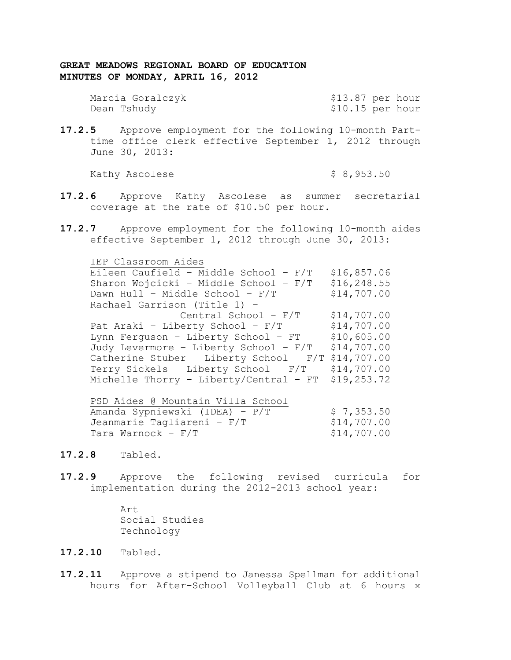| Marcia Goralczyk | \$13.87 per hour |  |
|------------------|------------------|--|
| Dean Tshudy      | \$10.15 per hour |  |

**17.2.5** Approve employment for the following 10-month Parttime office clerk effective September 1, 2012 through June 30, 2013:

Kathy Ascolese  $\uparrow$  8,953.50

- **17.2.6** Approve Kathy Ascolese as summer secretarial coverage at the rate of \$10.50 per hour.
- **17.2.7** Approve employment for the following 10-month aides effective September 1, 2012 through June 30, 2013:

| IEP Classroom Aides                      |             |
|------------------------------------------|-------------|
| Eileen Caufield - Middle School - F/T    | \$16,857.06 |
| Sharon Wojcicki - Middle School - F/T    | \$16,248.55 |
| Dawn Hull - Middle School - F/T          | \$14,707.00 |
| Rachael Garrison (Title 1) -             |             |
| Central School - $F/T$                   | \$14,707.00 |
| Pat Araki - Liberty School - F/T         | \$14,707.00 |
| Lynn Ferquson - Liberty School - FT      | \$10,605.00 |
| Judy Levermore - Liberty School - F/T    | \$14,707.00 |
| Catherine Stuber - Liberty School - F/T  | \$14,707.00 |
| Terry Sickels - Liberty School - F/T     | \$14,707.00 |
| Michelle Thorry - Liberty/Central - $FT$ | \$19,253.72 |
|                                          |             |

| PSD Aides @ Mountain Villa School |             |
|-----------------------------------|-------------|
| Amanda Sypniewski (IDEA) - P/T    | \$7,353.50  |
| Jeanmarie Tagliareni - F/T        | \$14,707.00 |
| Tara Warnock – F/T                | \$14,707.00 |

- **17.2.8** Tabled.
- **17.2.9** Approve the following revised curricula for implementation during the 2012-2013 school year:

Art Social Studies Technology

# **17.2.10** Tabled.

**17.2.11** Approve a stipend to Janessa Spellman for additional hours for After-School Volleyball Club at 6 hours x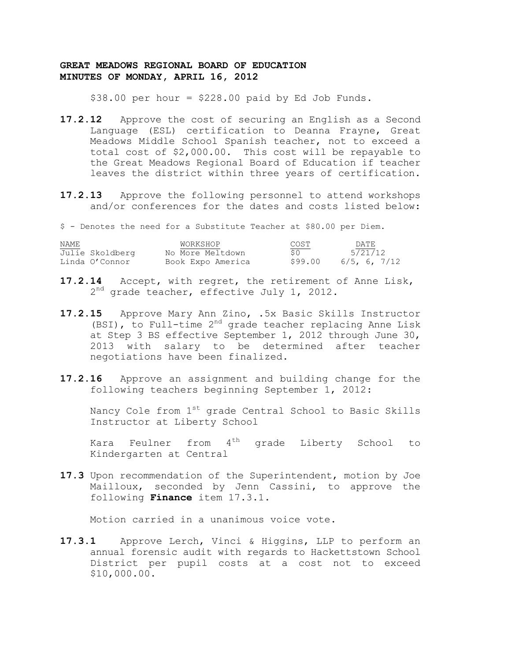$$38.00$  per hour =  $$228.00$  paid by Ed Job Funds.

- **17.2.12** Approve the cost of securing an English as a Second Language (ESL) certification to Deanna Frayne, Great Meadows Middle School Spanish teacher, not to exceed a total cost of \$2,000.00. This cost will be repayable to the Great Meadows Regional Board of Education if teacher leaves the district within three years of certification.
- **17.2.13** Approve the following personnel to attend workshops and/or conferences for the dates and costs listed below:

\$ - Denotes the need for a Substitute Teacher at \$80.00 per Diem.

| NAME |                 | WORKSHOP          | COST    | DATE.           |
|------|-----------------|-------------------|---------|-----------------|
|      | Julie Skoldberg | No More Meltdown  | S 0     | 5/21/12         |
|      | Linda O'Connor  | Book Expo America | \$99.00 | $6/5$ , 6, 7/12 |

- **17.2.14** Accept, with regret, the retirement of Anne Lisk, 2<sup>nd</sup> grade teacher, effective July 1, 2012.
- **17.2.15** Approve Mary Ann Zino, .5x Basic Skills Instructor (BSI), to Full-time 2<sup>nd</sup> grade teacher replacing Anne Lisk at Step 3 BS effective September 1, 2012 through June 30, 2013 with salary to be determined after teacher negotiations have been finalized.
- **17.2.16** Approve an assignment and building change for the following teachers beginning September 1, 2012:

Nancy Cole from  $1^\text{st}$  grade Central School to Basic Skills Instructor at Liberty School

Kara Feulner from  $4<sup>th</sup>$  grade Liberty School to Kindergarten at Central

**17.3** Upon recommendation of the Superintendent, motion by Joe Mailloux, seconded by Jenn Cassini, to approve the following **Finance** item 17.3.1.

Motion carried in a unanimous voice vote.

**17.3.1** Approve Lerch, Vinci & Higgins, LLP to perform an annual forensic audit with regards to Hackettstown School District per pupil costs at a cost not to exceed \$10,000.00.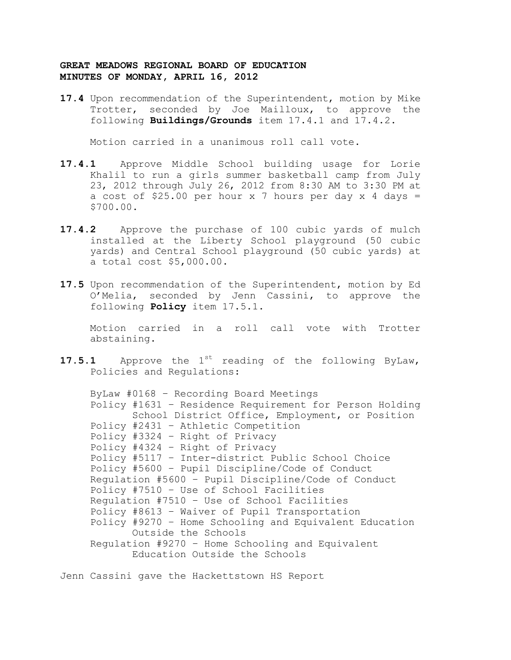**17.4** Upon recommendation of the Superintendent, motion by Mike Trotter, seconded by Joe Mailloux, to approve the following **Buildings/Grounds** item 17.4.1 and 17.4.2.

Motion carried in a unanimous roll call vote.

- **17.4.1** Approve Middle School building usage for Lorie Khalil to run a girls summer basketball camp from July 23, 2012 through July 26, 2012 from 8:30 AM to 3:30 PM at a cost of \$25.00 per hour  $x$  7 hours per day  $x$  4 days = \$700.00.
- **17.4.2** Approve the purchase of 100 cubic yards of mulch installed at the Liberty School playground (50 cubic yards) and Central School playground (50 cubic yards) at a total cost \$5,000.00.
- **17.5** Upon recommendation of the Superintendent, motion by Ed O'Melia, seconded by Jenn Cassini, to approve the following **Policy** item 17.5.1.

Motion carried in a roll call vote with Trotter abstaining.

17.5.1 Approve the 1<sup>st</sup> reading of the following ByLaw, Policies and Regulations:

ByLaw #0168 – Recording Board Meetings Policy #1631 – Residence Requirement for Person Holding School District Office, Employment, or Position Policy #2431 – Athletic Competition Policy #3324 – Right of Privacy Policy #4324 – Right of Privacy Policy #5117 – Inter-district Public School Choice Policy #5600 – Pupil Discipline/Code of Conduct Regulation #5600 – Pupil Discipline/Code of Conduct Policy #7510 – Use of School Facilities Regulation #7510 – Use of School Facilities Policy #8613 – Waiver of Pupil Transportation Policy #9270 – Home Schooling and Equivalent Education Outside the Schools Regulation #9270 – Home Schooling and Equivalent Education Outside the Schools

Jenn Cassini gave the Hackettstown HS Report